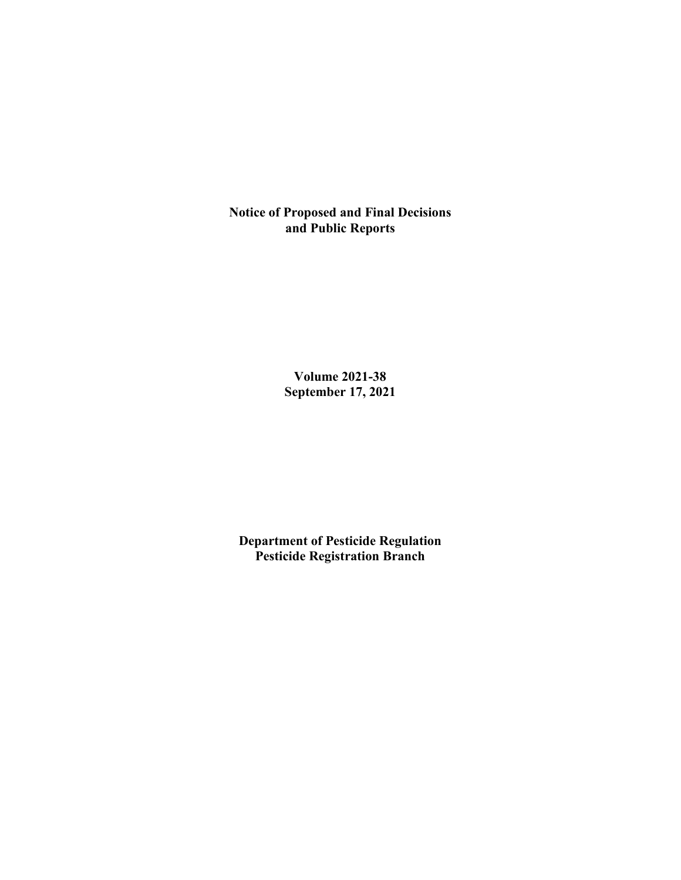**Notice of Proposed and Final Decisions and Public Reports**

> **Volume 2021-38 September 17, 2021**

**Department of Pesticide Regulation Pesticide Registration Branch**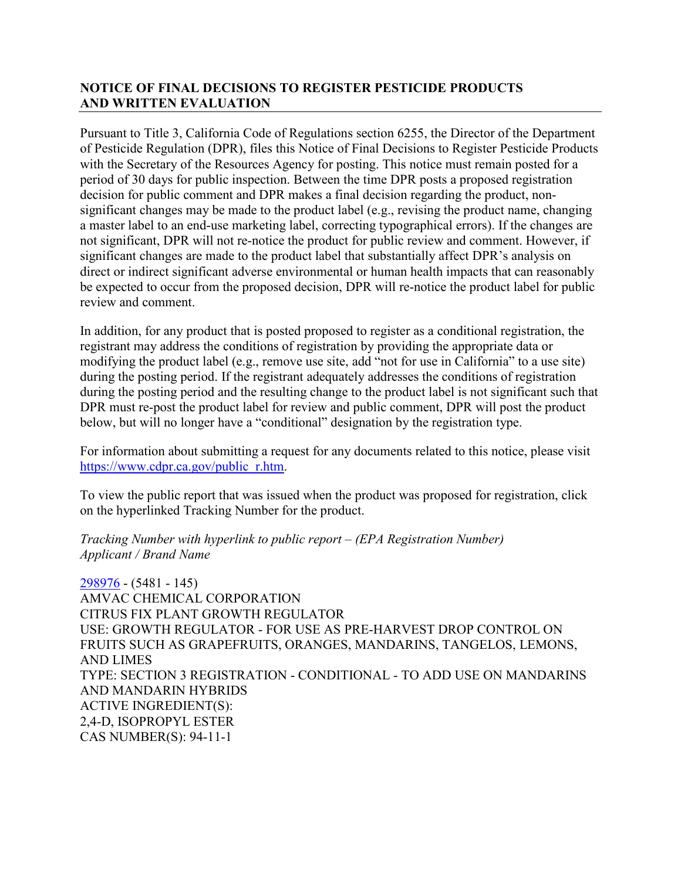## **NOTICE OF FINAL DECISIONS TO REGISTER PESTICIDE PRODUCTS AND WRITTEN EVALUATION**

Pursuant to Title 3, California Code of Regulations section 6255, the Director of the Department of Pesticide Regulation (DPR), files this Notice of Final Decisions to Register Pesticide Products with the Secretary of the Resources Agency for posting. This notice must remain posted for a period of 30 days for public inspection. Between the time DPR posts a proposed registration decision for public comment and DPR makes a final decision regarding the product, nonsignificant changes may be made to the product label (e.g., revising the product name, changing a master label to an end-use marketing label, correcting typographical errors). If the changes are not significant, DPR will not re-notice the product for public review and comment. However, if significant changes are made to the product label that substantially affect DPR's analysis on direct or indirect significant adverse environmental or human health impacts that can reasonably be expected to occur from the proposed decision, DPR will re-notice the product label for public review and comment.

In addition, for any product that is posted proposed to register as a conditional registration, the registrant may address the conditions of registration by providing the appropriate data or modifying the product label (e.g., remove use site, add "not for use in California" to a use site) during the posting period. If the registrant adequately addresses the conditions of registration during the posting period and the resulting change to the product label is not significant such that DPR must re-post the product label for review and public comment, DPR will post the product below, but will no longer have a "conditional" designation by the registration type.

For information about submitting a request for any documents related to this notice, please visit [https://www.cdpr.ca.gov/public\\_r.htm.](https://www.cdpr.ca.gov/public_r.htm)

To view the public report that was issued when the product was proposed for registration, click on the hyperlinked Tracking Number for the product.

#### *Tracking Number with hyperlink to public report – (EPA Registration Number) Applicant / Brand Name*

[298976](https://www.cdpr.ca.gov/docs/registration/nod/public_reports/298976.pdf) - (5481 - 145) AMVAC CHEMICAL CORPORATION CITRUS FIX PLANT GROWTH REGULATOR USE: GROWTH REGULATOR - FOR USE AS PRE-HARVEST DROP CONTROL ON FRUITS SUCH AS GRAPEFRUITS, ORANGES, MANDARINS, TANGELOS, LEMONS, AND LIMES TYPE: SECTION 3 REGISTRATION - CONDITIONAL - TO ADD USE ON MANDARINS AND MANDARIN HYBRIDS ACTIVE INGREDIENT(S): 2,4-D, ISOPROPYL ESTER CAS NUMBER(S): 94-11-1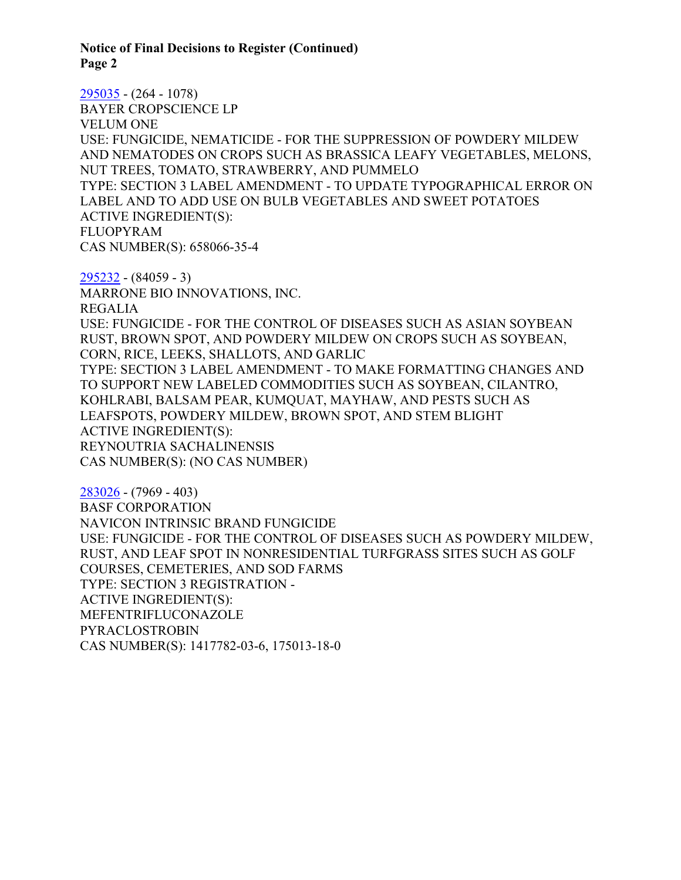**Notice of Final Decisions to Register (Continued) Page 2**

[295035](https://www.cdpr.ca.gov/docs/registration/nod/public_reports/295035.pdf) - (264 - 1078) BAYER CROPSCIENCE LP VELUM ONE USE: FUNGICIDE, NEMATICIDE - FOR THE SUPPRESSION OF POWDERY MILDEW AND NEMATODES ON CROPS SUCH AS BRASSICA LEAFY VEGETABLES, MELONS, NUT TREES, TOMATO, STRAWBERRY, AND PUMMELO TYPE: SECTION 3 LABEL AMENDMENT - TO UPDATE TYPOGRAPHICAL ERROR ON LABEL AND TO ADD USE ON BULB VEGETABLES AND SWEET POTATOES ACTIVE INGREDIENT(S): FLUOPYRAM CAS NUMBER(S): 658066-35-4

[295232](https://www.cdpr.ca.gov/docs/registration/nod/public_reports/295232.pdf) - (84059 - 3) MARRONE BIO INNOVATIONS, INC. REGALIA USE: FUNGICIDE - FOR THE CONTROL OF DISEASES SUCH AS ASIAN SOYBEAN RUST, BROWN SPOT, AND POWDERY MILDEW ON CROPS SUCH AS SOYBEAN, CORN, RICE, LEEKS, SHALLOTS, AND GARLIC TYPE: SECTION 3 LABEL AMENDMENT - TO MAKE FORMATTING CHANGES AND TO SUPPORT NEW LABELED COMMODITIES SUCH AS SOYBEAN, CILANTRO, KOHLRABI, BALSAM PEAR, KUMQUAT, MAYHAW, AND PESTS SUCH AS LEAFSPOTS, POWDERY MILDEW, BROWN SPOT, AND STEM BLIGHT ACTIVE INGREDIENT(S): REYNOUTRIA SACHALINENSIS CAS NUMBER(S): (NO CAS NUMBER)

[283026](https://www.cdpr.ca.gov/docs/registration/nod/public_reports/283026.pdf) - (7969 - 403) BASF CORPORATION NAVICON INTRINSIC BRAND FUNGICIDE USE: FUNGICIDE - FOR THE CONTROL OF DISEASES SUCH AS POWDERY MILDEW, RUST, AND LEAF SPOT IN NONRESIDENTIAL TURFGRASS SITES SUCH AS GOLF COURSES, CEMETERIES, AND SOD FARMS TYPE: SECTION 3 REGISTRATION - ACTIVE INGREDIENT(S): MEFENTRIFLUCONAZOLE PYRACLOSTROBIN CAS NUMBER(S): 1417782-03-6, 175013-18-0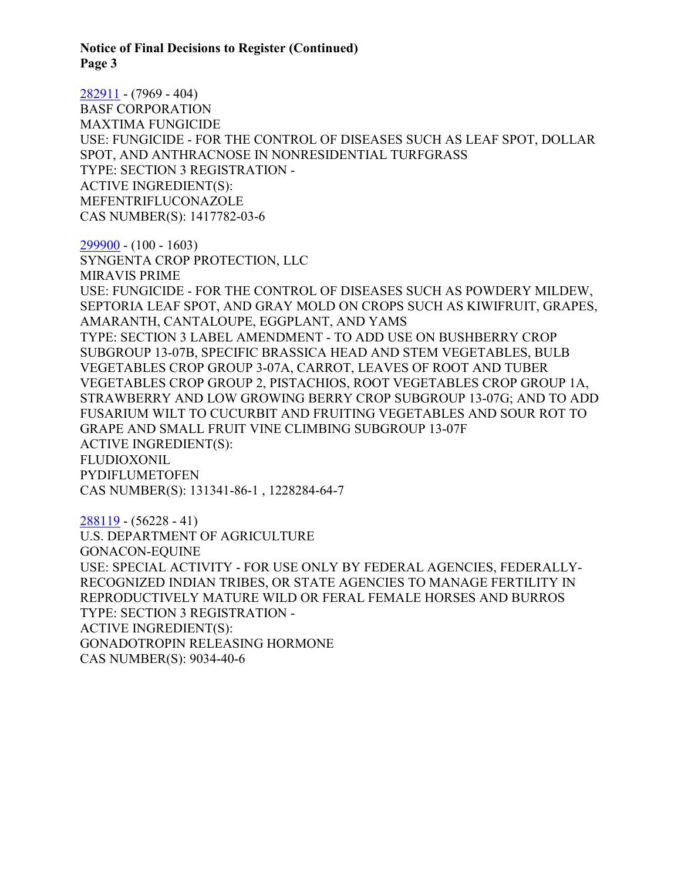**Notice of Final Decisions to Register (Continued) Page 3**

[282911](https://www.cdpr.ca.gov/docs/registration/nod/public_reports/282911.pdf) - (7969 - 404) BASF CORPORATION MAXTIMA FUNGICIDE USE: FUNGICIDE - FOR THE CONTROL OF DISEASES SUCH AS LEAF SPOT, DOLLAR SPOT, AND ANTHRACNOSE IN NONRESIDENTIAL TURFGRASS TYPE: SECTION 3 REGISTRATION - ACTIVE INGREDIENT(S): MEFENTRIFLUCONAZOLE CAS NUMBER(S): 1417782-03-6

[299900](https://www.cdpr.ca.gov/docs/registration/nod/public_reports/299900.pdf) - (100 - 1603) SYNGENTA CROP PROTECTION, LLC MIRAVIS PRIME USE: FUNGICIDE - FOR THE CONTROL OF DISEASES SUCH AS POWDERY MILDEW, SEPTORIA LEAF SPOT, AND GRAY MOLD ON CROPS SUCH AS KIWIFRUIT, GRAPES, AMARANTH, CANTALOUPE, EGGPLANT, AND YAMS TYPE: SECTION 3 LABEL AMENDMENT - TO ADD USE ON BUSHBERRY CROP SUBGROUP 13-07B, SPECIFIC BRASSICA HEAD AND STEM VEGETABLES, BULB VEGETABLES CROP GROUP 3-07A, CARROT, LEAVES OF ROOT AND TUBER VEGETABLES CROP GROUP 2, PISTACHIOS, ROOT VEGETABLES CROP GROUP 1A, STRAWBERRY AND LOW GROWING BERRY CROP SUBGROUP 13-07G; AND TO ADD FUSARIUM WILT TO CUCURBIT AND FRUITING VEGETABLES AND SOUR ROT TO GRAPE AND SMALL FRUIT VINE CLIMBING SUBGROUP 13-07F ACTIVE INGREDIENT(S): FLUDIOXONIL PYDIFLUMETOFEN CAS NUMBER(S): 131341-86-1 , 1228284-64-7

[288119](https://www.cdpr.ca.gov/docs/registration/nod/public_reports/288119.pdf) - (56228 - 41) U.S. DEPARTMENT OF AGRICULTURE GONACON-EQUINE USE: SPECIAL ACTIVITY - FOR USE ONLY BY FEDERAL AGENCIES, FEDERALLY-RECOGNIZED INDIAN TRIBES, OR STATE AGENCIES TO MANAGE FERTILITY IN REPRODUCTIVELY MATURE WILD OR FERAL FEMALE HORSES AND BURROS TYPE: SECTION 3 REGISTRATION - ACTIVE INGREDIENT(S): GONADOTROPIN RELEASING HORMONE CAS NUMBER(S): 9034-40-6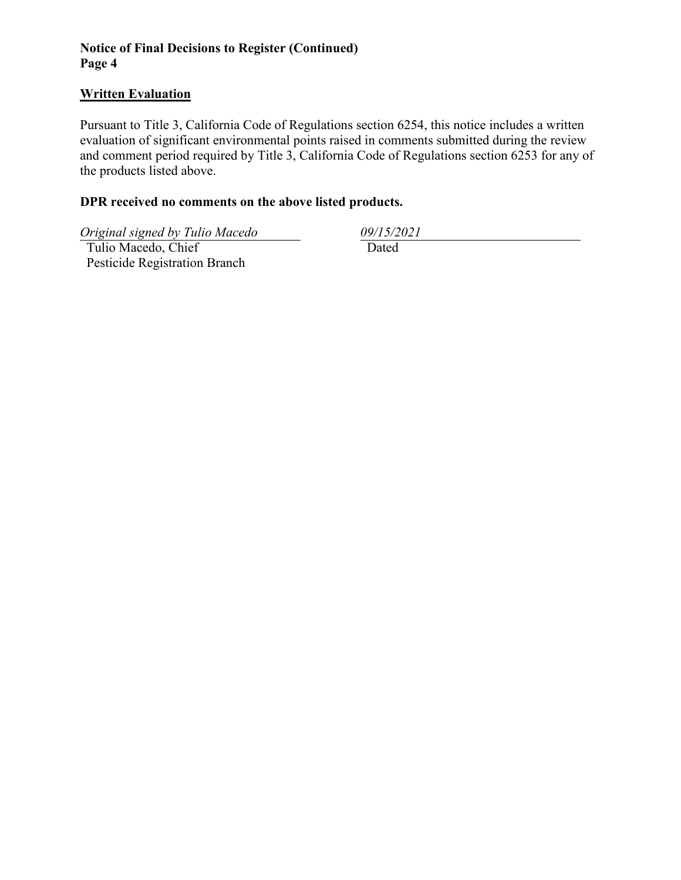## **Notice of Final Decisions to Register (Continued) Page 4**

### **Written Evaluation**

Pursuant to Title 3, California Code of Regulations section 6254, this notice includes a written evaluation of significant environmental points raised in comments submitted during the review and comment period required by Title 3, California Code of Regulations section 6253 for any of the products listed above.

# **DPR received no comments on the above listed products.**

*Original signed by Tulio Macedo 09/15/2021*

 Tulio Macedo, Chief Pesticide Registration Branch Dated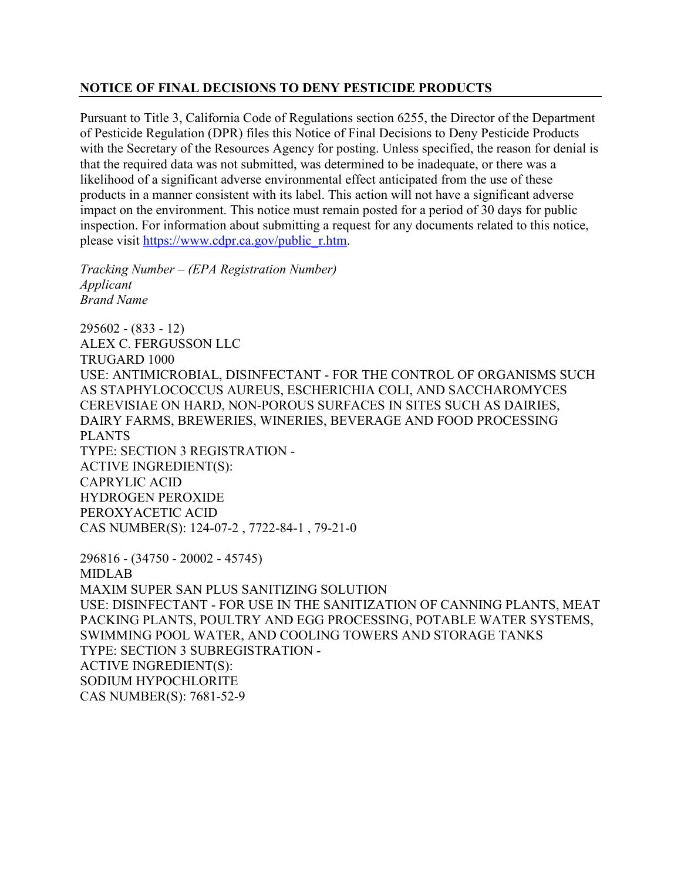#### **NOTICE OF FINAL DECISIONS TO DENY PESTICIDE PRODUCTS**

Pursuant to Title 3, California Code of Regulations section 6255, the Director of the Department of Pesticide Regulation (DPR) files this Notice of Final Decisions to Deny Pesticide Products with the Secretary of the Resources Agency for posting. Unless specified, the reason for denial is that the required data was not submitted, was determined to be inadequate, or there was a likelihood of a significant adverse environmental effect anticipated from the use of these products in a manner consistent with its label. This action will not have a significant adverse impact on the environment. This notice must remain posted for a period of 30 days for public inspection. For information about submitting a request for any documents related to this notice, please visit [https://www.cdpr.ca.gov/public\\_r.htm.](https://www.cdpr.ca.gov/public_r.htm)

*Tracking Number – (EPA Registration Number) Applicant Brand Name*

295602 - (833 - 12) ALEX C. FERGUSSON LLC TRUGARD 1000 USE: ANTIMICROBIAL, DISINFECTANT - FOR THE CONTROL OF ORGANISMS SUCH AS STAPHYLOCOCCUS AUREUS, ESCHERICHIA COLI, AND SACCHAROMYCES CEREVISIAE ON HARD, NON-POROUS SURFACES IN SITES SUCH AS DAIRIES, DAIRY FARMS, BREWERIES, WINERIES, BEVERAGE AND FOOD PROCESSING PLANTS TYPE: SECTION 3 REGISTRATION - ACTIVE INGREDIENT(S): CAPRYLIC ACID HYDROGEN PEROXIDE PEROXYACETIC ACID CAS NUMBER(S): 124-07-2 , 7722-84-1 , 79-21-0 296816 - (34750 - 20002 - 45745) MIDLAB MAXIM SUPER SAN PLUS SANITIZING SOLUTION USE: DISINFECTANT - FOR USE IN THE SANITIZATION OF CANNING PLANTS, MEAT PACKING PLANTS, POULTRY AND EGG PROCESSING, POTABLE WATER SYSTEMS, SWIMMING POOL WATER, AND COOLING TOWERS AND STORAGE TANKS TYPE: SECTION 3 SUBREGISTRATION -

ACTIVE INGREDIENT(S): SODIUM HYPOCHLORITE

CAS NUMBER(S): 7681-52-9